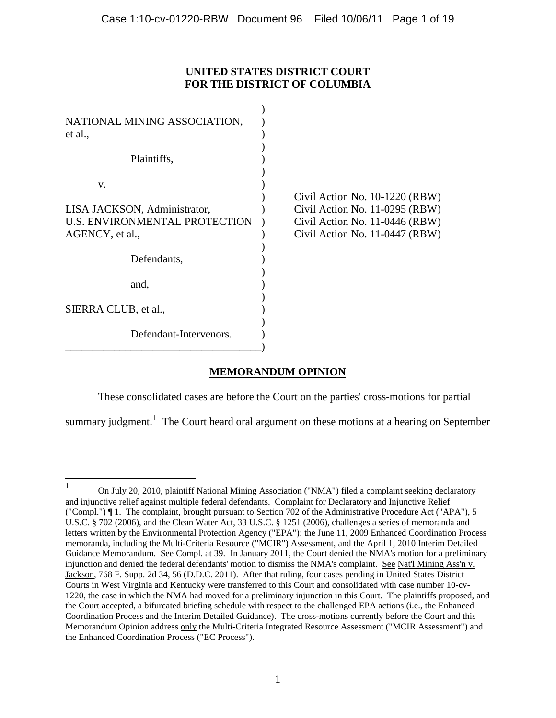## **UNITED STATES DISTRICT COURT FOR THE DISTRICT OF COLUMBIA**

| NATIONAL MINING ASSOCIATION,<br>et al.,                                          |                                                                                                                                      |
|----------------------------------------------------------------------------------|--------------------------------------------------------------------------------------------------------------------------------------|
| Plaintiffs,                                                                      |                                                                                                                                      |
| V.                                                                               |                                                                                                                                      |
| LISA JACKSON, Administrator,<br>U.S. ENVIRONMENTAL PROTECTION<br>AGENCY, et al., | Civil Action No. 10-1220 (RBW)<br>Civil Action No. 11-0295 (RBW)<br>Civil Action No. 11-0446 (RBW)<br>Civil Action No. 11-0447 (RBW) |
| Defendants,                                                                      |                                                                                                                                      |
| and,                                                                             |                                                                                                                                      |
| SIERRA CLUB, et al.,                                                             |                                                                                                                                      |
| Defendant-Intervenors.                                                           |                                                                                                                                      |

# **MEMORANDUM OPINION**

These consolidated cases are before the Court on the parties' cross-motions for partial

summary judgment.<sup>[1](#page-18-0)</sup> The Court heard oral argument on these motions at a hearing on September

<span id="page-0-0"></span><sup>&</sup>lt;sup>1</sup> On July 20, 2010, plaintiff National Mining Association ("NMA") filed a complaint seeking declaratory and injunctive relief against multiple federal defendants. Complaint for Declaratory and Injunctive Relief ("Compl.") ¶ 1. The complaint, brought pursuant to Section 702 of the Administrative Procedure Act ("APA"), 5 U.S.C. § 702 (2006), and the Clean Water Act, 33 U.S.C. § 1251 (2006), challenges a series of memoranda and letters written by the Environmental Protection Agency ("EPA"): the June 11, 2009 Enhanced Coordination Process memoranda, including the Multi-Criteria Resource ("MCIR") Assessment, and the April 1, 2010 Interim Detailed Guidance Memorandum. See Compl. at 39. In January 2011, the Court denied the NMA's motion for a preliminary injunction and denied the federal defendants' motion to dismiss the NMA's complaint. See Nat'l Mining Ass'n v. Jackson, 768 F. Supp. 2d 34, 56 (D.D.C. 2011). After that ruling, four cases pending in United States District Courts in West Virginia and Kentucky were transferred to this Court and consolidated with case number 10-cv-1220, the case in which the NMA had moved for a preliminary injunction in this Court. The plaintiffs proposed, and the Court accepted, a bifurcated briefing schedule with respect to the challenged EPA actions (i.e., the Enhanced Coordination Process and the Interim Detailed Guidance). The cross-motions currently before the Court and this Memorandum Opinion address only the Multi-Criteria Integrated Resource Assessment ("MCIR Assessment") and the Enhanced Coordination Process ("EC Process").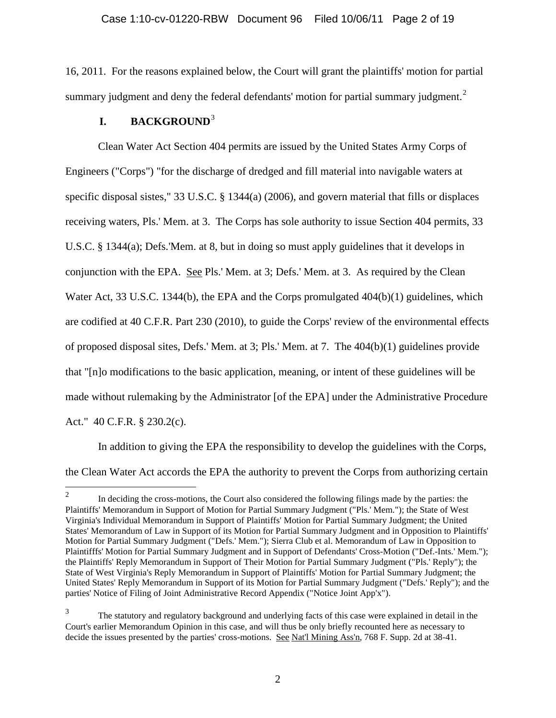16, 2011. For the reasons explained below, the Court will grant the plaintiffs' motion for partial summary judgment and deny the federal defendants' motion for partial summary judgment. $^2$  $^2$ 

## **I. BACKGROUND**[3](#page-1-0)

Clean Water Act Section 404 permits are issued by the United States Army Corps of Engineers ("Corps") "for the discharge of dredged and fill material into navigable waters at specific disposal sistes," 33 U.S.C. § 1344(a) (2006), and govern material that fills or displaces receiving waters, Pls.' Mem. at 3. The Corps has sole authority to issue Section 404 permits, 33 U.S.C. § 1344(a); Defs.'Mem. at 8, but in doing so must apply guidelines that it develops in conjunction with the EPA. See Pls.' Mem. at 3; Defs.' Mem. at 3. As required by the Clean Water Act, 33 U.S.C. 1344(b), the EPA and the Corps promulgated  $404(b)(1)$  guidelines, which are codified at 40 C.F.R. Part 230 (2010), to guide the Corps' review of the environmental effects of proposed disposal sites, Defs.' Mem. at 3; Pls.' Mem. at 7. The 404(b)(1) guidelines provide that "[n]o modifications to the basic application, meaning, or intent of these guidelines will be made without rulemaking by the Administrator [of the EPA] under the Administrative Procedure Act." 40 C.F.R. § 230.2(c).

In addition to giving the EPA the responsibility to develop the guidelines with the Corps, the Clean Water Act accords the EPA the authority to prevent the Corps from authorizing certain

<sup>&</sup>lt;sup>2</sup> In deciding the cross-motions, the Court also considered the following filings made by the parties: the Plaintiffs' Memorandum in Support of Motion for Partial Summary Judgment ("Pls.' Mem."); the State of West Virginia's Individual Memorandum in Support of Plaintiffs' Motion for Partial Summary Judgment; the United States' Memorandum of Law in Support of its Motion for Partial Summary Judgment and in Opposition to Plaintiffs' Motion for Partial Summary Judgment ("Defs.' Mem."); Sierra Club et al. Memorandum of Law in Opposition to Plaintifffs' Motion for Partial Summary Judgment and in Support of Defendants' Cross-Motion ("Def.-Ints.' Mem."); the Plaintiffs' Reply Memorandum in Support of Their Motion for Partial Summary Judgment ("Pls.' Reply"); the State of West Virginia's Reply Memorandum in Support of Plaintiffs' Motion for Partial Summary Judgment; the United States' Reply Memorandum in Support of its Motion for Partial Summary Judgment ("Defs.' Reply"); and the parties' Notice of Filing of Joint Administrative Record Appendix ("Notice Joint App'x").

<span id="page-1-1"></span><span id="page-1-0"></span><sup>&</sup>lt;sup>3</sup> The statutory and regulatory background and underlying facts of this case were explained in detail in the Court's earlier Memorandum Opinion in this case, and will thus be only briefly recounted here as necessary to decide the issues presented by the parties' cross-motions. See Nat'l Mining Ass'n, 768 F. Supp. 2d at 38-41.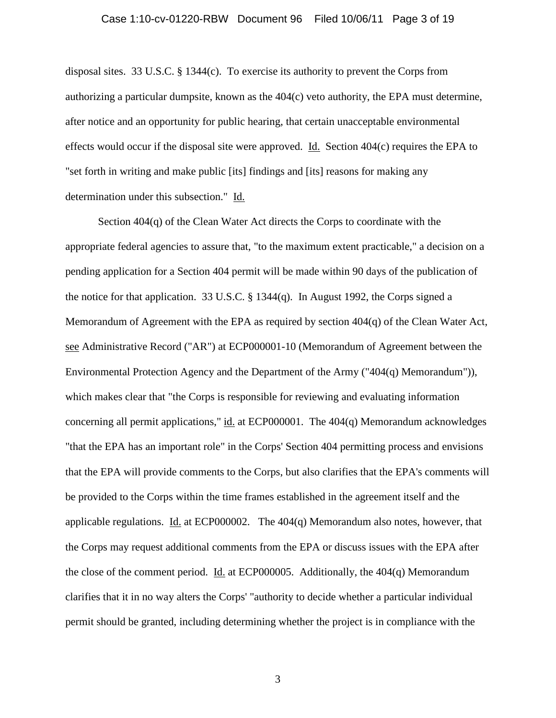#### Case 1:10-cv-01220-RBW Document 96 Filed 10/06/11 Page 3 of 19

disposal sites. 33 U.S.C.  $\S$  1344(c). To exercise its authority to prevent the Corps from authorizing a particular dumpsite, known as the 404(c) veto authority, the EPA must determine, after notice and an opportunity for public hearing, that certain unacceptable environmental effects would occur if the disposal site were approved. Id. Section 404(c) requires the EPA to "set forth in writing and make public [its] findings and [its] reasons for making any determination under this subsection." Id.

Section 404(q) of the Clean Water Act directs the Corps to coordinate with the appropriate federal agencies to assure that, "to the maximum extent practicable," a decision on a pending application for a Section 404 permit will be made within 90 days of the publication of the notice for that application. 33 U.S.C. § 1344(q). In August 1992, the Corps signed a Memorandum of Agreement with the EPA as required by section 404(q) of the Clean Water Act, see Administrative Record ("AR") at ECP000001-10 (Memorandum of Agreement between the Environmental Protection Agency and the Department of the Army ("404(q) Memorandum")), which makes clear that "the Corps is responsible for reviewing and evaluating information concerning all permit applications," id. at ECP000001. The 404(q) Memorandum acknowledges "that the EPA has an important role" in the Corps' Section 404 permitting process and envisions that the EPA will provide comments to the Corps, but also clarifies that the EPA's comments will be provided to the Corps within the time frames established in the agreement itself and the applicable regulations. Id. at ECP000002. The 404(q) Memorandum also notes, however, that the Corps may request additional comments from the EPA or discuss issues with the EPA after the close of the comment period. Id. at ECP000005. Additionally, the 404(q) Memorandum clarifies that it in no way alters the Corps' "authority to decide whether a particular individual permit should be granted, including determining whether the project is in compliance with the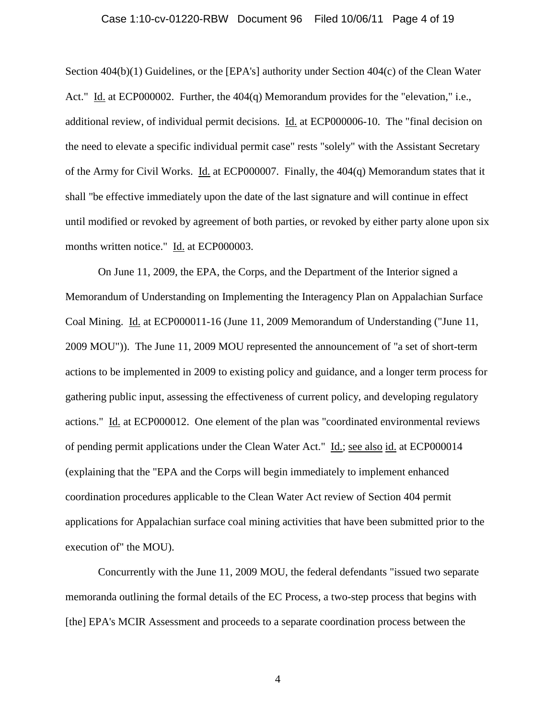#### Case 1:10-cv-01220-RBW Document 96 Filed 10/06/11 Page 4 of 19

Section 404(b)(1) Guidelines, or the [EPA's] authority under Section 404(c) of the Clean Water Act." Id. at ECP000002. Further, the 404(q) Memorandum provides for the "elevation," i.e., additional review, of individual permit decisions. Id. at ECP000006-10. The "final decision on the need to elevate a specific individual permit case" rests "solely" with the Assistant Secretary of the Army for Civil Works. Id. at ECP000007. Finally, the 404(q) Memorandum states that it shall "be effective immediately upon the date of the last signature and will continue in effect until modified or revoked by agreement of both parties, or revoked by either party alone upon six months written notice." Id. at ECP000003.

On June 11, 2009, the EPA, the Corps, and the Department of the Interior signed a Memorandum of Understanding on Implementing the Interagency Plan on Appalachian Surface Coal Mining. Id. at ECP000011-16 (June 11, 2009 Memorandum of Understanding ("June 11, 2009 MOU")). The June 11, 2009 MOU represented the announcement of "a set of short-term actions to be implemented in 2009 to existing policy and guidance, and a longer term process for gathering public input, assessing the effectiveness of current policy, and developing regulatory actions." Id. at ECP000012. One element of the plan was "coordinated environmental reviews of pending permit applications under the Clean Water Act." Id.; see also id. at ECP000014 (explaining that the "EPA and the Corps will begin immediately to implement enhanced coordination procedures applicable to the Clean Water Act review of Section 404 permit applications for Appalachian surface coal mining activities that have been submitted prior to the execution of" the MOU).

Concurrently with the June 11, 2009 MOU, the federal defendants "issued two separate memoranda outlining the formal details of the EC Process, a two-step process that begins with [the] EPA's MCIR Assessment and proceeds to a separate coordination process between the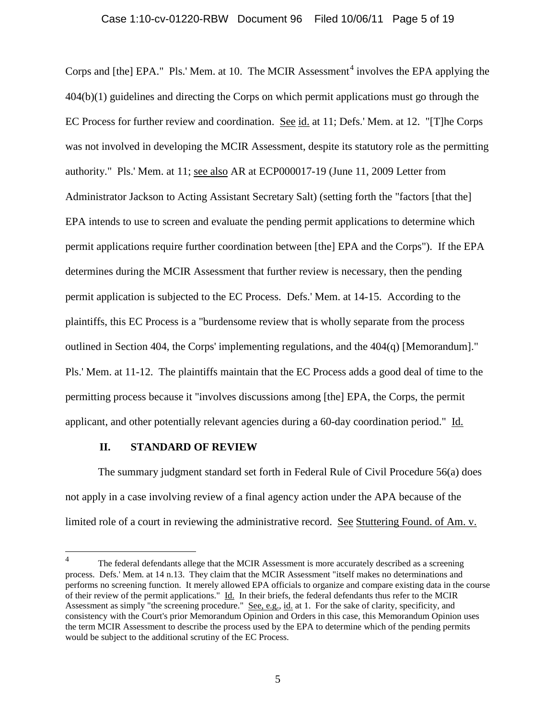### Case 1:10-cv-01220-RBW Document 96 Filed 10/06/11 Page 5 of 19

Corps and [the] EPA." Pls.' Mem. at 10. The MCIR Assessment<sup>[4](#page-1-1)</sup> involves the EPA applying the 404(b)(1) guidelines and directing the Corps on which permit applications must go through the EC Process for further review and coordination. See id. at 11; Defs.' Mem. at 12. "[T]he Corps was not involved in developing the MCIR Assessment, despite its statutory role as the permitting authority." Pls.' Mem. at 11; see also AR at ECP000017-19 (June 11, 2009 Letter from Administrator Jackson to Acting Assistant Secretary Salt) (setting forth the "factors [that the] EPA intends to use to screen and evaluate the pending permit applications to determine which permit applications require further coordination between [the] EPA and the Corps"). If the EPA determines during the MCIR Assessment that further review is necessary, then the pending permit application is subjected to the EC Process. Defs.' Mem. at 14-15. According to the plaintiffs, this EC Process is a "burdensome review that is wholly separate from the process outlined in Section 404, the Corps' implementing regulations, and the  $404(q)$  [Memorandum]." Pls.' Mem. at 11-12. The plaintiffs maintain that the EC Process adds a good deal of time to the permitting process because it "involves discussions among [the] EPA, the Corps, the permit applicant, and other potentially relevant agencies during a 60-day coordination period." Id.

#### **II. STANDARD OF REVIEW**

The summary judgment standard set forth in Federal Rule of Civil Procedure 56(a) does not apply in a case involving review of a final agency action under the APA because of the limited role of a court in reviewing the administrative record. See Stuttering Found. of Am. v.

<span id="page-4-0"></span><sup>&</sup>lt;sup>4</sup> The federal defendants allege that the MCIR Assessment is more accurately described as a screening process. Defs.' Mem. at 14 n.13. They claim that the MCIR Assessment "itself makes no determinations and performs no screening function. It merely allowed EPA officials to organize and compare existing data in the course of their review of the permit applications." Id. In their briefs, the federal defendants thus refer to the MCIR Assessment as simply "the screening procedure." See, e.g., id. at 1. For the sake of clarity, specificity, and consistency with the Court's prior Memorandum Opinion and Orders in this case, this Memorandum Opinion uses the term MCIR Assessment to describe the process used by the EPA to determine which of the pending permits would be subject to the additional scrutiny of the EC Process.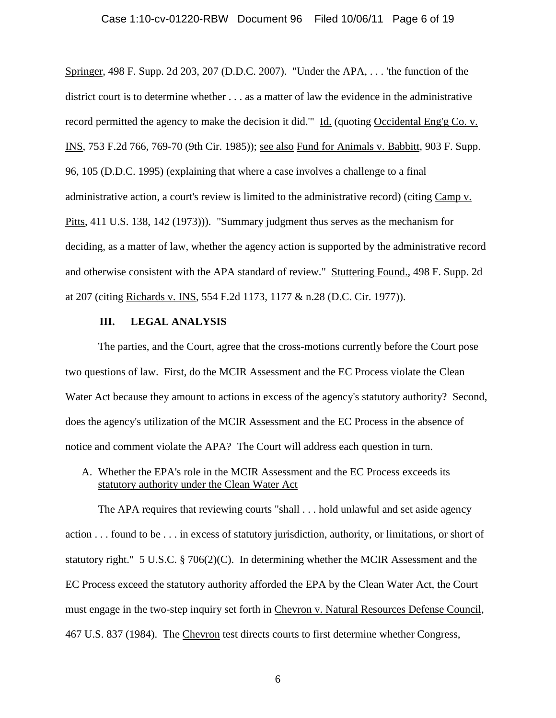#### Case 1:10-cv-01220-RBW Document 96 Filed 10/06/11 Page 6 of 19

Springer, 498 F. Supp. 2d 203, 207 (D.D.C. 2007). "Under the APA, . . . 'the function of the district court is to determine whether . . . as a matter of law the evidence in the administrative record permitted the agency to make the decision it did.'" Id. (quoting Occidental Eng'g Co. v. INS, 753 F.2d 766, 769-70 (9th Cir. 1985)); see also Fund for Animals v. Babbitt, 903 F. Supp. 96, 105 (D.D.C. 1995) (explaining that where a case involves a challenge to a final administrative action, a court's review is limited to the administrative record) (citing Camp v. Pitts, 411 U.S. 138, 142 (1973))). "Summary judgment thus serves as the mechanism for deciding, as a matter of law, whether the agency action is supported by the administrative record and otherwise consistent with the APA standard of review." Stuttering Found., 498 F. Supp. 2d at 207 (citing Richards v. INS, 554 F.2d 1173, 1177 & n.28 (D.C. Cir. 1977)).

#### **III. LEGAL ANALYSIS**

The parties, and the Court, agree that the cross-motions currently before the Court pose two questions of law. First, do the MCIR Assessment and the EC Process violate the Clean Water Act because they amount to actions in excess of the agency's statutory authority? Second, does the agency's utilization of the MCIR Assessment and the EC Process in the absence of notice and comment violate the APA? The Court will address each question in turn.

### A. Whether the EPA's role in the MCIR Assessment and the EC Process exceeds its statutory authority under the Clean Water Act

The APA requires that reviewing courts "shall . . . hold unlawful and set aside agency action . . . found to be . . . in excess of statutory jurisdiction, authority, or limitations, or short of statutory right." 5 U.S.C. § 706(2)(C). In determining whether the MCIR Assessment and the EC Process exceed the statutory authority afforded the EPA by the Clean Water Act, the Court must engage in the two-step inquiry set forth in Chevron v. Natural Resources Defense Council, 467 U.S. 837 (1984). The Chevron test directs courts to first determine whether Congress,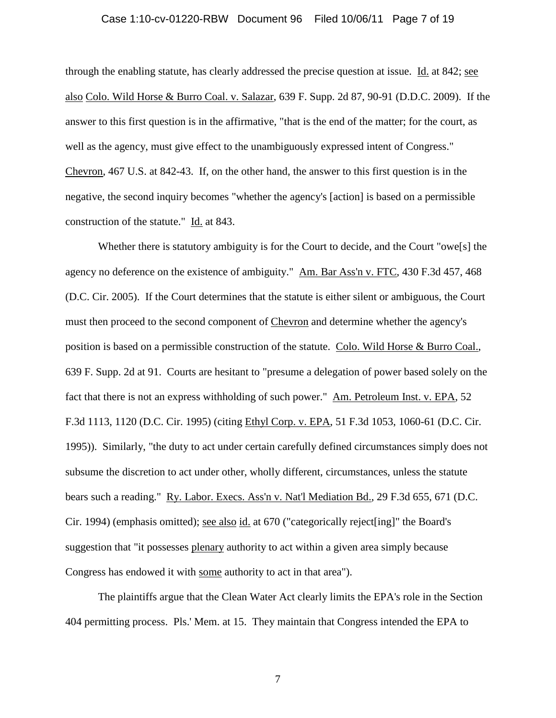#### Case 1:10-cv-01220-RBW Document 96 Filed 10/06/11 Page 7 of 19

through the enabling statute, has clearly addressed the precise question at issue. Id. at 842; see also Colo. Wild Horse & Burro Coal. v. Salazar, 639 F. Supp. 2d 87, 90-91 (D.D.C. 2009). If the answer to this first question is in the affirmative, "that is the end of the matter; for the court, as well as the agency, must give effect to the unambiguously expressed intent of Congress." Chevron, 467 U.S. at 842-43. If, on the other hand, the answer to this first question is in the negative, the second inquiry becomes "whether the agency's [action] is based on a permissible construction of the statute." Id. at 843.

Whether there is statutory ambiguity is for the Court to decide, and the Court "owe[s] the agency no deference on the existence of ambiguity." Am. Bar Ass'n v. FTC, 430 F.3d 457, 468 (D.C. Cir. 2005). If the Court determines that the statute is either silent or ambiguous, the Court must then proceed to the second component of Chevron and determine whether the agency's position is based on a permissible construction of the statute. Colo. Wild Horse & Burro Coal., 639 F. Supp. 2d at 91. Courts are hesitant to "presume a delegation of power based solely on the fact that there is not an express withholding of such power." Am. Petroleum Inst. v. EPA, 52 F.3d 1113, 1120 (D.C. Cir. 1995) (citing Ethyl Corp. v. EPA, 51 F.3d 1053, 1060-61 (D.C. Cir. 1995)). Similarly, "the duty to act under certain carefully defined circumstances simply does not subsume the discretion to act under other, wholly different, circumstances, unless the statute bears such a reading." Ry. Labor. Execs. Ass'n v. Nat'l Mediation Bd., 29 F.3d 655, 671 (D.C. Cir. 1994) (emphasis omitted); see also id. at 670 ("categorically reject[ing]" the Board's suggestion that "it possesses plenary authority to act within a given area simply because Congress has endowed it with some authority to act in that area").

The plaintiffs argue that the Clean Water Act clearly limits the EPA's role in the Section 404 permitting process. Pls.' Mem. at 15. They maintain that Congress intended the EPA to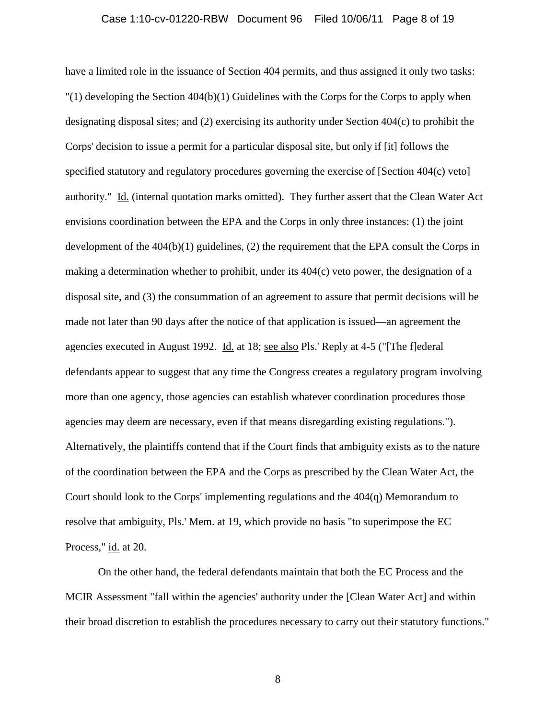#### Case 1:10-cv-01220-RBW Document 96 Filed 10/06/11 Page 8 of 19

have a limited role in the issuance of Section 404 permits, and thus assigned it only two tasks: "(1) developing the Section 404(b)(1) Guidelines with the Corps for the Corps to apply when designating disposal sites; and (2) exercising its authority under Section 404(c) to prohibit the Corps' decision to issue a permit for a particular disposal site, but only if [it] follows the specified statutory and regulatory procedures governing the exercise of [Section 404(c) veto] authority." Id. (internal quotation marks omitted). They further assert that the Clean Water Act envisions coordination between the EPA and the Corps in only three instances: (1) the joint development of the  $404(b)(1)$  guidelines, (2) the requirement that the EPA consult the Corps in making a determination whether to prohibit, under its 404(c) veto power, the designation of a disposal site, and (3) the consummation of an agreement to assure that permit decisions will be made not later than 90 days after the notice of that application is issued—an agreement the agencies executed in August 1992. Id. at 18; see also Pls.' Reply at 4-5 ("[The f]ederal defendants appear to suggest that any time the Congress creates a regulatory program involving more than one agency, those agencies can establish whatever coordination procedures those agencies may deem are necessary, even if that means disregarding existing regulations."). Alternatively, the plaintiffs contend that if the Court finds that ambiguity exists as to the nature of the coordination between the EPA and the Corps as prescribed by the Clean Water Act, the Court should look to the Corps' implementing regulations and the 404(q) Memorandum to resolve that ambiguity, Pls.' Mem. at 19, which provide no basis "to superimpose the EC Process," id. at 20.

On the other hand, the federal defendants maintain that both the EC Process and the MCIR Assessment "fall within the agencies' authority under the [Clean Water Act] and within their broad discretion to establish the procedures necessary to carry out their statutory functions."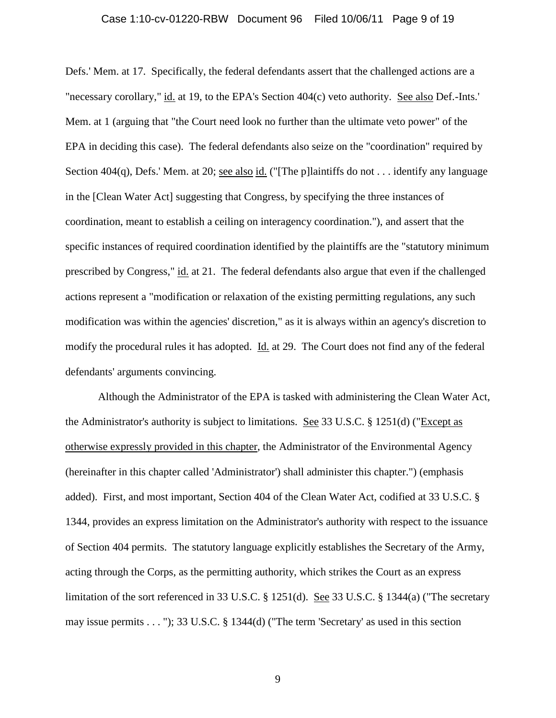#### Case 1:10-cv-01220-RBW Document 96 Filed 10/06/11 Page 9 of 19

Defs.' Mem. at 17. Specifically, the federal defendants assert that the challenged actions are a "necessary corollary," id. at 19, to the EPA's Section 404(c) veto authority. See also Def.-Ints.' Mem. at 1 (arguing that "the Court need look no further than the ultimate veto power" of the EPA in deciding this case). The federal defendants also seize on the "coordination" required by Section 404(q), Defs.' Mem. at 20; <u>see also id.</u> ("[The p]laintiffs do not . . . identify any language in the [Clean Water Act] suggesting that Congress, by specifying the three instances of coordination, meant to establish a ceiling on interagency coordination."), and assert that the specific instances of required coordination identified by the plaintiffs are the "statutory minimum prescribed by Congress," id. at 21. The federal defendants also argue that even if the challenged actions represent a "modification or relaxation of the existing permitting regulations, any such modification was within the agencies' discretion," as it is always within an agency's discretion to modify the procedural rules it has adopted. Id. at 29. The Court does not find any of the federal defendants' arguments convincing.

Although the Administrator of the EPA is tasked with administering the Clean Water Act, the Administrator's authority is subject to limitations. See 33 U.S.C. § 1251(d) ("Except as otherwise expressly provided in this chapter, the Administrator of the Environmental Agency (hereinafter in this chapter called 'Administrator') shall administer this chapter.") (emphasis added). First, and most important, Section 404 of the Clean Water Act, codified at 33 U.S.C. § 1344, provides an express limitation on the Administrator's authority with respect to the issuance of Section 404 permits. The statutory language explicitly establishes the Secretary of the Army, acting through the Corps, as the permitting authority, which strikes the Court as an express limitation of the sort referenced in 33 U.S.C. § 1251(d). See 33 U.S.C. § 1344(a) ("The secretary may issue permits . . . "); 33 U.S.C. § 1344(d) ("The term 'Secretary' as used in this section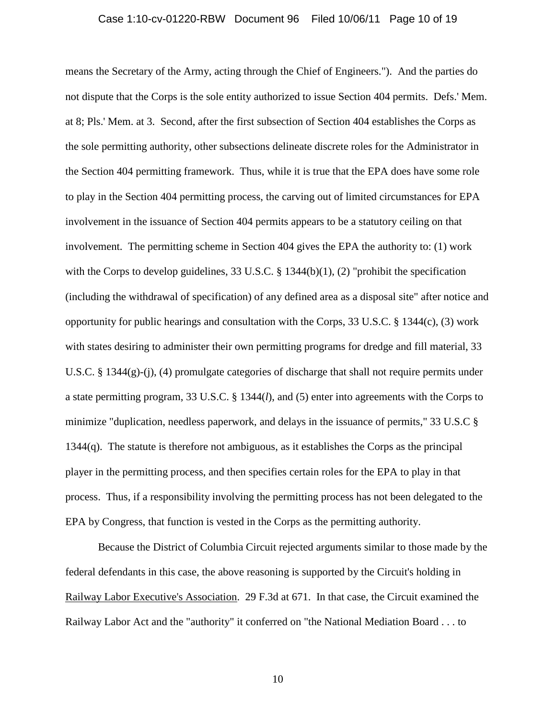#### Case 1:10-cv-01220-RBW Document 96 Filed 10/06/11 Page 10 of 19

means the Secretary of the Army, acting through the Chief of Engineers."). And the parties do not dispute that the Corps is the sole entity authorized to issue Section 404 permits. Defs.' Mem. at 8; Pls.' Mem. at 3. Second, after the first subsection of Section 404 establishes the Corps as the sole permitting authority, other subsections delineate discrete roles for the Administrator in the Section 404 permitting framework. Thus, while it is true that the EPA does have some role to play in the Section 404 permitting process, the carving out of limited circumstances for EPA involvement in the issuance of Section 404 permits appears to be a statutory ceiling on that involvement. The permitting scheme in Section 404 gives the EPA the authority to: (1) work with the Corps to develop guidelines, 33 U.S.C. § 1344(b)(1), (2) "prohibit the specification (including the withdrawal of specification) of any defined area as a disposal site" after notice and opportunity for public hearings and consultation with the Corps, 33 U.S.C. § 1344(c), (3) work with states desiring to administer their own permitting programs for dredge and fill material, 33 U.S.C. § 1344(g)-(j), (4) promulgate categories of discharge that shall not require permits under a state permitting program, 33 U.S.C. § 1344(*l*), and (5) enter into agreements with the Corps to minimize "duplication, needless paperwork, and delays in the issuance of permits," 33 U.S.C § 1344(q). The statute is therefore not ambiguous, as it establishes the Corps as the principal player in the permitting process, and then specifies certain roles for the EPA to play in that process. Thus, if a responsibility involving the permitting process has not been delegated to the EPA by Congress, that function is vested in the Corps as the permitting authority.

Because the District of Columbia Circuit rejected arguments similar to those made by the federal defendants in this case, the above reasoning is supported by the Circuit's holding in Railway Labor Executive's Association. 29 F.3d at 671. In that case, the Circuit examined the Railway Labor Act and the "authority" it conferred on "the National Mediation Board . . . to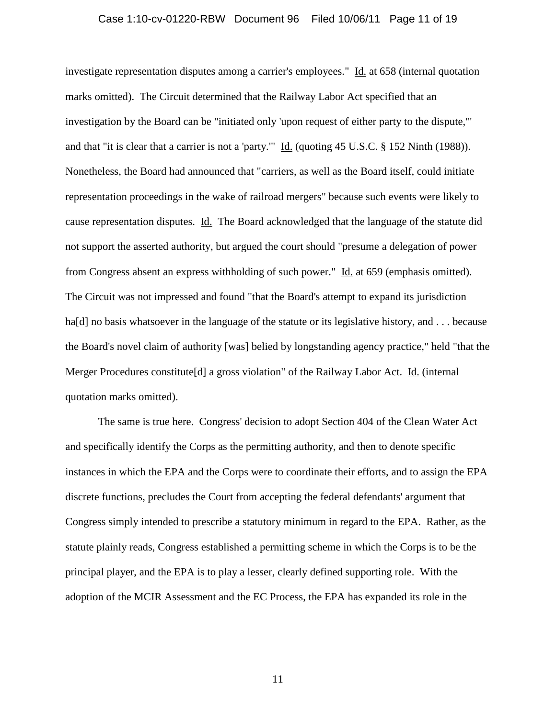#### Case 1:10-cv-01220-RBW Document 96 Filed 10/06/11 Page 11 of 19

investigate representation disputes among a carrier's employees." Id. at 658 (internal quotation marks omitted). The Circuit determined that the Railway Labor Act specified that an investigation by the Board can be "initiated only 'upon request of either party to the dispute,'" and that "it is clear that a carrier is not a 'party.'" Id. (quoting 45 U.S.C. § 152 Ninth (1988)). Nonetheless, the Board had announced that "carriers, as well as the Board itself, could initiate representation proceedings in the wake of railroad mergers" because such events were likely to cause representation disputes. Id. The Board acknowledged that the language of the statute did not support the asserted authority, but argued the court should "presume a delegation of power from Congress absent an express withholding of such power." Id. at 659 (emphasis omitted). The Circuit was not impressed and found "that the Board's attempt to expand its jurisdiction ha[d] no basis whatsoever in the language of the statute or its legislative history, and . . . because the Board's novel claim of authority [was] belied by longstanding agency practice," held "that the Merger Procedures constitute<sup>[d]</sup> a gross violation" of the Railway Labor Act. *Id.* (internal quotation marks omitted).

The same is true here. Congress' decision to adopt Section 404 of the Clean Water Act and specifically identify the Corps as the permitting authority, and then to denote specific instances in which the EPA and the Corps were to coordinate their efforts, and to assign the EPA discrete functions, precludes the Court from accepting the federal defendants' argument that Congress simply intended to prescribe a statutory minimum in regard to the EPA. Rather, as the statute plainly reads, Congress established a permitting scheme in which the Corps is to be the principal player, and the EPA is to play a lesser, clearly defined supporting role. With the adoption of the MCIR Assessment and the EC Process, the EPA has expanded its role in the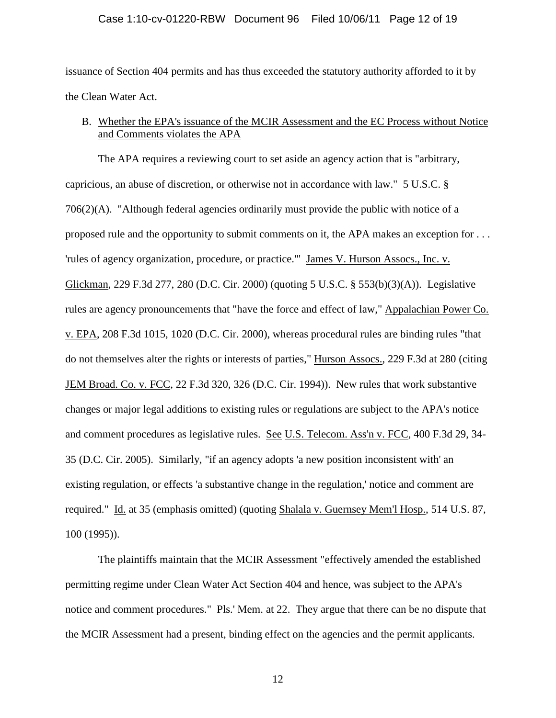### Case 1:10-cv-01220-RBW Document 96 Filed 10/06/11 Page 12 of 19

issuance of Section 404 permits and has thus exceeded the statutory authority afforded to it by the Clean Water Act.

## B. Whether the EPA's issuance of the MCIR Assessment and the EC Process without Notice and Comments violates the APA

The APA requires a reviewing court to set aside an agency action that is "arbitrary, capricious, an abuse of discretion, or otherwise not in accordance with law." 5 U.S.C. § 706(2)(A). "Although federal agencies ordinarily must provide the public with notice of a proposed rule and the opportunity to submit comments on it, the APA makes an exception for . . . 'rules of agency organization, procedure, or practice.'" James V. Hurson Assocs., Inc. v. Glickman, 229 F.3d 277, 280 (D.C. Cir. 2000) (quoting 5 U.S.C. § 553(b)(3)(A)). Legislative rules are agency pronouncements that "have the force and effect of law," Appalachian Power Co. v. EPA, 208 F.3d 1015, 1020 (D.C. Cir. 2000), whereas procedural rules are binding rules "that do not themselves alter the rights or interests of parties," Hurson Assocs., 229 F.3d at 280 (citing JEM Broad. Co. v. FCC, 22 F.3d 320, 326 (D.C. Cir. 1994)). New rules that work substantive changes or major legal additions to existing rules or regulations are subject to the APA's notice and comment procedures as legislative rules. See U.S. Telecom. Ass'n v. FCC, 400 F.3d 29, 34- 35 (D.C. Cir. 2005). Similarly, "if an agency adopts 'a new position inconsistent with' an existing regulation, or effects 'a substantive change in the regulation,' notice and comment are required." Id. at 35 (emphasis omitted) (quoting Shalala v. Guernsey Mem'l Hosp., 514 U.S. 87, 100 (1995)).

The plaintiffs maintain that the MCIR Assessment "effectively amended the established permitting regime under Clean Water Act Section 404 and hence, was subject to the APA's notice and comment procedures." Pls.' Mem. at 22. They argue that there can be no dispute that the MCIR Assessment had a present, binding effect on the agencies and the permit applicants.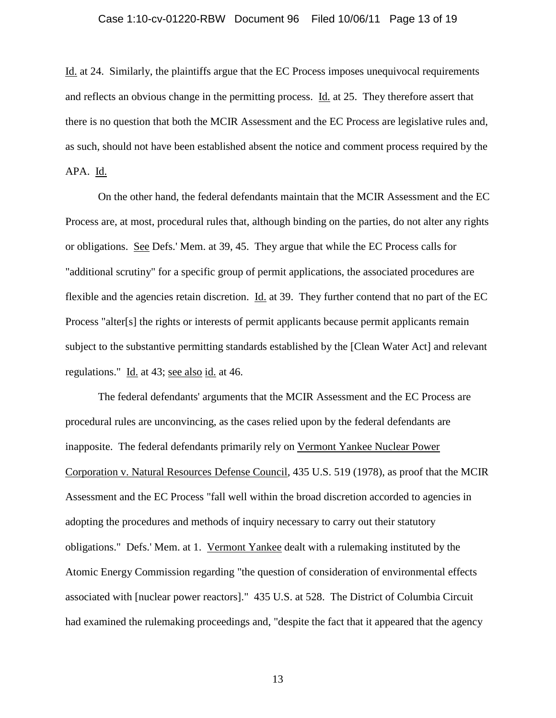#### Case 1:10-cv-01220-RBW Document 96 Filed 10/06/11 Page 13 of 19

Id. at 24. Similarly, the plaintiffs argue that the EC Process imposes unequivocal requirements and reflects an obvious change in the permitting process. Id. at 25. They therefore assert that there is no question that both the MCIR Assessment and the EC Process are legislative rules and, as such, should not have been established absent the notice and comment process required by the APA. Id.

On the other hand, the federal defendants maintain that the MCIR Assessment and the EC Process are, at most, procedural rules that, although binding on the parties, do not alter any rights or obligations. See Defs.' Mem. at 39, 45. They argue that while the EC Process calls for "additional scrutiny" for a specific group of permit applications, the associated procedures are flexible and the agencies retain discretion. Id. at 39. They further contend that no part of the EC Process "alter[s] the rights or interests of permit applicants because permit applicants remain subject to the substantive permitting standards established by the [Clean Water Act] and relevant regulations." Id. at 43; see also id. at 46.

The federal defendants' arguments that the MCIR Assessment and the EC Process are procedural rules are unconvincing, as the cases relied upon by the federal defendants are inapposite. The federal defendants primarily rely on Vermont Yankee Nuclear Power Corporation v. Natural Resources Defense Council, 435 U.S. 519 (1978), as proof that the MCIR Assessment and the EC Process "fall well within the broad discretion accorded to agencies in adopting the procedures and methods of inquiry necessary to carry out their statutory obligations." Defs.' Mem. at 1. Vermont Yankee dealt with a rulemaking instituted by the Atomic Energy Commission regarding "the question of consideration of environmental effects associated with [nuclear power reactors]." 435 U.S. at 528. The District of Columbia Circuit had examined the rulemaking proceedings and, "despite the fact that it appeared that the agency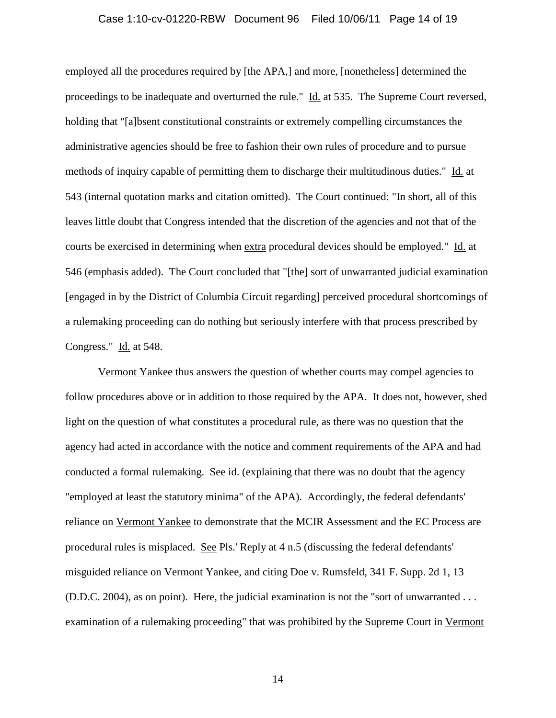#### Case 1:10-cv-01220-RBW Document 96 Filed 10/06/11 Page 14 of 19

employed all the procedures required by [the APA,] and more, [nonetheless] determined the proceedings to be inadequate and overturned the rule." Id. at 535. The Supreme Court reversed, holding that "[a]bsent constitutional constraints or extremely compelling circumstances the administrative agencies should be free to fashion their own rules of procedure and to pursue methods of inquiry capable of permitting them to discharge their multitudinous duties." Id. at 543 (internal quotation marks and citation omitted). The Court continued: "In short, all of this leaves little doubt that Congress intended that the discretion of the agencies and not that of the courts be exercised in determining when extra procedural devices should be employed." Id. at 546 (emphasis added). The Court concluded that "[the] sort of unwarranted judicial examination [engaged in by the District of Columbia Circuit regarding] perceived procedural shortcomings of a rulemaking proceeding can do nothing but seriously interfere with that process prescribed by Congress." Id. at 548.

Vermont Yankee thus answers the question of whether courts may compel agencies to follow procedures above or in addition to those required by the APA. It does not, however, shed light on the question of what constitutes a procedural rule, as there was no question that the agency had acted in accordance with the notice and comment requirements of the APA and had conducted a formal rulemaking. See id. (explaining that there was no doubt that the agency "employed at least the statutory minima" of the APA). Accordingly, the federal defendants' reliance on Vermont Yankee to demonstrate that the MCIR Assessment and the EC Process are procedural rules is misplaced. See Pls.' Reply at 4 n.5 (discussing the federal defendants' misguided reliance on Vermont Yankee, and citing Doe v. Rumsfeld, 341 F. Supp. 2d 1, 13 (D.D.C. 2004), as on point). Here, the judicial examination is not the "sort of unwarranted . . . examination of a rulemaking proceeding" that was prohibited by the Supreme Court in Vermont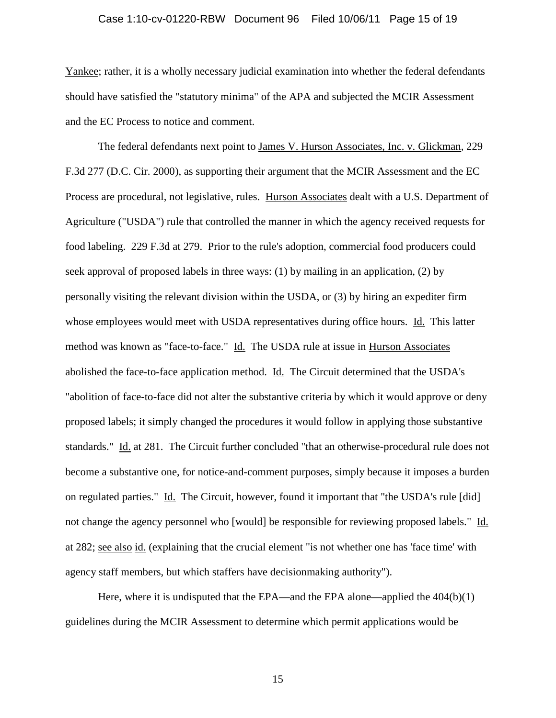#### Case 1:10-cv-01220-RBW Document 96 Filed 10/06/11 Page 15 of 19

Yankee; rather, it is a wholly necessary judicial examination into whether the federal defendants should have satisfied the "statutory minima" of the APA and subjected the MCIR Assessment and the EC Process to notice and comment.

The federal defendants next point to James V. Hurson Associates, Inc. v. Glickman, 229 F.3d 277 (D.C. Cir. 2000), as supporting their argument that the MCIR Assessment and the EC Process are procedural, not legislative, rules. Hurson Associates dealt with a U.S. Department of Agriculture ("USDA") rule that controlled the manner in which the agency received requests for food labeling. 229 F.3d at 279. Prior to the rule's adoption, commercial food producers could seek approval of proposed labels in three ways: (1) by mailing in an application, (2) by personally visiting the relevant division within the USDA, or (3) by hiring an expediter firm whose employees would meet with USDA representatives during office hours. Id. This latter method was known as "face-to-face." Id. The USDA rule at issue in Hurson Associates abolished the face-to-face application method. Id. The Circuit determined that the USDA's "abolition of face-to-face did not alter the substantive criteria by which it would approve or deny proposed labels; it simply changed the procedures it would follow in applying those substantive standards." Id. at 281. The Circuit further concluded "that an otherwise-procedural rule does not become a substantive one, for notice-and-comment purposes, simply because it imposes a burden on regulated parties." Id. The Circuit, however, found it important that "the USDA's rule [did] not change the agency personnel who [would] be responsible for reviewing proposed labels." Id. at 282; see also id. (explaining that the crucial element "is not whether one has 'face time' with agency staff members, but which staffers have decisionmaking authority").

Here, where it is undisputed that the EPA—and the EPA alone—applied the 404(b)(1) guidelines during the MCIR Assessment to determine which permit applications would be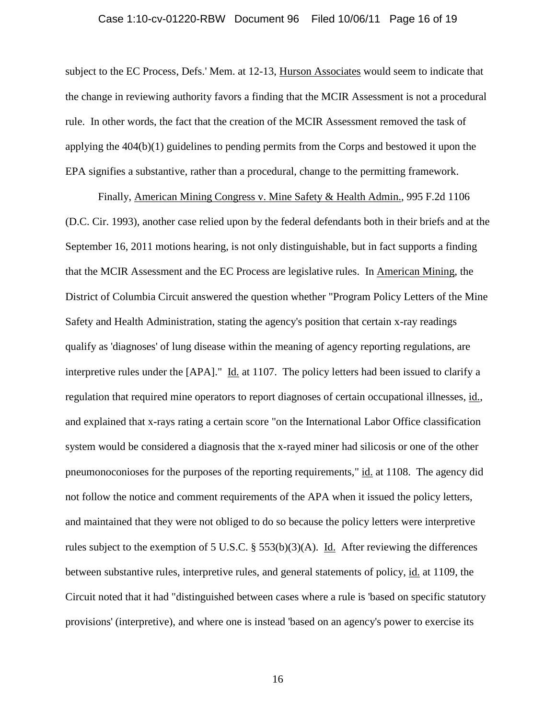#### Case 1:10-cv-01220-RBW Document 96 Filed 10/06/11 Page 16 of 19

subject to the EC Process, Defs.' Mem. at 12-13, Hurson Associates would seem to indicate that the change in reviewing authority favors a finding that the MCIR Assessment is not a procedural rule. In other words, the fact that the creation of the MCIR Assessment removed the task of applying the 404(b)(1) guidelines to pending permits from the Corps and bestowed it upon the EPA signifies a substantive, rather than a procedural, change to the permitting framework.

Finally, American Mining Congress v. Mine Safety & Health Admin., 995 F.2d 1106 (D.C. Cir. 1993), another case relied upon by the federal defendants both in their briefs and at the September 16, 2011 motions hearing, is not only distinguishable, but in fact supports a finding that the MCIR Assessment and the EC Process are legislative rules. In American Mining, the District of Columbia Circuit answered the question whether "Program Policy Letters of the Mine Safety and Health Administration, stating the agency's position that certain x-ray readings qualify as 'diagnoses' of lung disease within the meaning of agency reporting regulations, are interpretive rules under the [APA]." Id. at 1107. The policy letters had been issued to clarify a regulation that required mine operators to report diagnoses of certain occupational illnesses, id., and explained that x-rays rating a certain score "on the International Labor Office classification system would be considered a diagnosis that the x-rayed miner had silicosis or one of the other pneumonoconioses for the purposes of the reporting requirements," id. at 1108. The agency did not follow the notice and comment requirements of the APA when it issued the policy letters, and maintained that they were not obliged to do so because the policy letters were interpretive rules subject to the exemption of 5 U.S.C. § 553(b)(3)(A). Id. After reviewing the differences between substantive rules, interpretive rules, and general statements of policy, id. at 1109, the Circuit noted that it had "distinguished between cases where a rule is 'based on specific statutory provisions' (interpretive), and where one is instead 'based on an agency's power to exercise its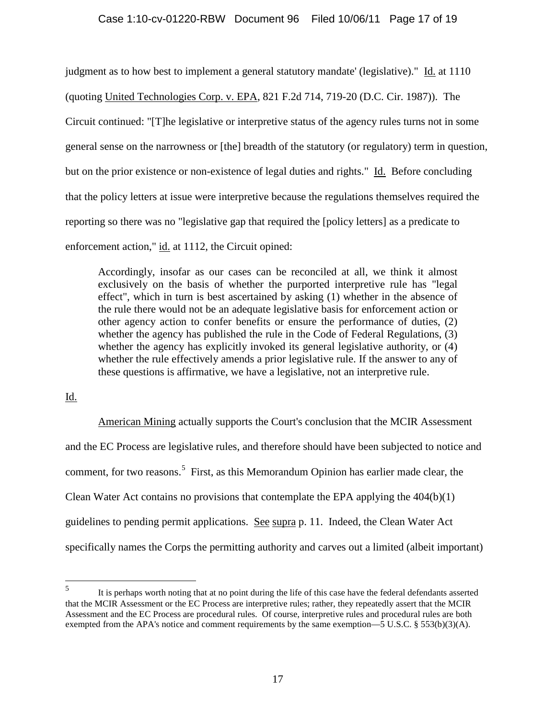### Case 1:10-cv-01220-RBW Document 96 Filed 10/06/11 Page 17 of 19

judgment as to how best to implement a general statutory mandate' (legislative)." Id. at 1110 (quoting United Technologies Corp. v. EPA, 821 F.2d 714, 719-20 (D.C. Cir. 1987)). The Circuit continued: "[T]he legislative or interpretive status of the agency rules turns not in some general sense on the narrowness or [the] breadth of the statutory (or regulatory) term in question, but on the prior existence or non-existence of legal duties and rights." Id. Before concluding that the policy letters at issue were interpretive because the regulations themselves required the reporting so there was no "legislative gap that required the [policy letters] as a predicate to enforcement action," id. at 1112, the Circuit opined:

Accordingly, insofar as our cases can be reconciled at all, we think it almost exclusively on the basis of whether the purported interpretive rule has "legal effect", which in turn is best ascertained by asking (1) whether in the absence of the rule there would not be an adequate legislative basis for enforcement action or other agency action to confer benefits or ensure the performance of duties, (2) whether the agency has published the rule in the Code of Federal Regulations, (3) whether the agency has explicitly invoked its general legislative authority, or (4) whether the rule effectively amends a prior legislative rule. If the answer to any of these questions is affirmative, we have a legislative, not an interpretive rule.

### Id.

American Mining actually supports the Court's conclusion that the MCIR Assessment and the EC Process are legislative rules, and therefore should have been subjected to notice and comment, for two reasons.<sup>[5](#page-4-0)</sup> First, as this Memorandum Opinion has earlier made clear, the Clean Water Act contains no provisions that contemplate the EPA applying the 404(b)(1) guidelines to pending permit applications. See supra p. 11. Indeed, the Clean Water Act specifically names the Corps the permitting authority and carves out a limited (albeit important)

<span id="page-16-0"></span> <sup>5</sup> It is perhaps worth noting that at no point during the life of this case have the federal defendants asserted that the MCIR Assessment or the EC Process are interpretive rules; rather, they repeatedly assert that the MCIR Assessment and the EC Process are procedural rules. Of course, interpretive rules and procedural rules are both exempted from the APA's notice and comment requirements by the same exemption—5 U.S.C. § 553(b)(3)(A).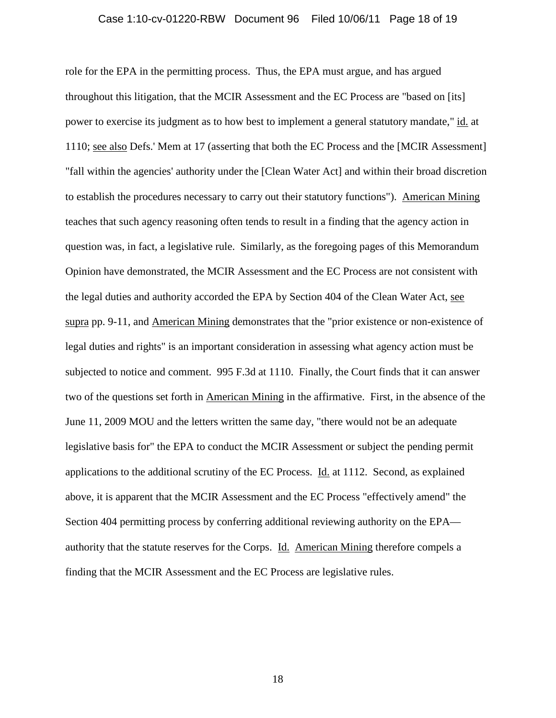#### Case 1:10-cv-01220-RBW Document 96 Filed 10/06/11 Page 18 of 19

role for the EPA in the permitting process. Thus, the EPA must argue, and has argued throughout this litigation, that the MCIR Assessment and the EC Process are "based on [its] power to exercise its judgment as to how best to implement a general statutory mandate," id. at 1110; see also Defs.' Mem at 17 (asserting that both the EC Process and the [MCIR Assessment] "fall within the agencies' authority under the [Clean Water Act] and within their broad discretion to establish the procedures necessary to carry out their statutory functions"). American Mining teaches that such agency reasoning often tends to result in a finding that the agency action in question was, in fact, a legislative rule. Similarly, as the foregoing pages of this Memorandum Opinion have demonstrated, the MCIR Assessment and the EC Process are not consistent with the legal duties and authority accorded the EPA by Section 404 of the Clean Water Act, see supra pp. 9-11, and American Mining demonstrates that the "prior existence or non-existence of legal duties and rights" is an important consideration in assessing what agency action must be subjected to notice and comment. 995 F.3d at 1110. Finally, the Court finds that it can answer two of the questions set forth in American Mining in the affirmative. First, in the absence of the June 11, 2009 MOU and the letters written the same day, "there would not be an adequate legislative basis for" the EPA to conduct the MCIR Assessment or subject the pending permit applications to the additional scrutiny of the EC Process. Id. at 1112. Second, as explained above, it is apparent that the MCIR Assessment and the EC Process "effectively amend" the Section 404 permitting process by conferring additional reviewing authority on the EPA authority that the statute reserves for the Corps. Id. American Mining therefore compels a finding that the MCIR Assessment and the EC Process are legislative rules.